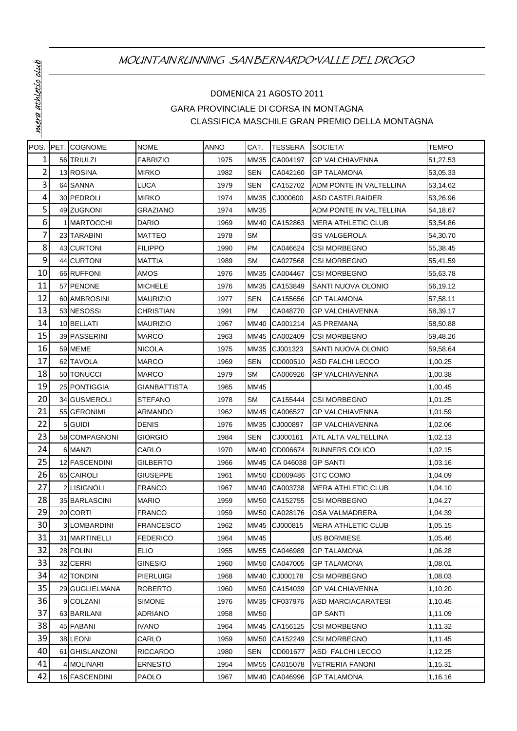#### GARA PROVINCIALE DI CORSA IN MONTAGNA DOMENICA 21 AGOSTO 2011

| MOUINTAIINNUININU JAINDLNIVANDO VALLLIDLLINOUO<br>mera athletic club |                         |                                       |                                                                 |             |             |                                 |                                                |          |  |  |  |
|----------------------------------------------------------------------|-------------------------|---------------------------------------|-----------------------------------------------------------------|-------------|-------------|---------------------------------|------------------------------------------------|----------|--|--|--|
|                                                                      |                         |                                       |                                                                 |             |             |                                 |                                                |          |  |  |  |
|                                                                      | DOMENICA 21 AGOSTO 2011 |                                       |                                                                 |             |             |                                 |                                                |          |  |  |  |
|                                                                      |                         |                                       |                                                                 |             |             |                                 | <b>GARA PROVINCIALE DI CORSA IN MONTAGNA</b>   |          |  |  |  |
|                                                                      |                         |                                       |                                                                 |             |             |                                 | CLASSIFICA MASCHILE GRAN PREMIO DELLA MONTAGNA |          |  |  |  |
|                                                                      |                         |                                       |                                                                 |             |             |                                 |                                                |          |  |  |  |
| POS.                                                                 |                         | PET. COGNOME                          | <b>NOME</b>                                                     | <b>ANNO</b> | CAT.        | <b>TESSERA</b>                  | SOCIETA'                                       | TEMPO    |  |  |  |
| 1                                                                    |                         | 56 TRIULZI                            | FABRIZIO                                                        | 1975        | MM35        | CA004197                        | <b>GP VALCHIAVENNA</b>                         | 51,27.53 |  |  |  |
| 2                                                                    |                         | 13 ROSINA                             | <b>MIRKO</b>                                                    | 1982        | SEN         | CA042160                        | <b>GP TALAMONA</b>                             | 53,05.33 |  |  |  |
| 3                                                                    |                         | 64 SANNA                              | <b>LUCA</b>                                                     | 1979        | SEN         | CA152702                        | ADM PONTE IN VALTELLINA                        | 53,14.62 |  |  |  |
| 4                                                                    |                         | 30 PEDROLI                            | <b>MIRKO</b>                                                    | 1974        | <b>MM35</b> | CJ000600                        | <b>ASD CASTELRAIDER</b>                        | 53,26.96 |  |  |  |
| 5                                                                    |                         | 49 ZUGNONI                            | GRAZIANO                                                        | 1974        | <b>MM35</b> |                                 | ADM PONTE IN VALTELLINA                        | 54,18.67 |  |  |  |
| 6                                                                    |                         | 1 MARTOCCHI                           | DARIO                                                           | 1969        | MM40        | CA152863                        | <b>MERA ATHLETIC CLUB</b>                      | 53,54.86 |  |  |  |
| 7                                                                    |                         | 23 TARABINI                           | MATTEO                                                          | 1978        | SМ          |                                 | <b>GS VALGEROLA</b>                            | 54,30.70 |  |  |  |
| 8                                                                    |                         | 43 CURTONI                            | FILIPPO                                                         | 1990        | PM          | CA046624                        | <b>CSI MORBEGNO</b>                            | 55,38.45 |  |  |  |
| 9                                                                    |                         | 44 CURTONI                            | <b>MATTIA</b>                                                   | 1989        | SМ          | CA027568                        | <b>CSI MORBEGNO</b>                            | 55,41.59 |  |  |  |
| 10                                                                   |                         | 66 RUFFONI                            | AMOS                                                            | 1976        | <b>MM35</b> | CA004467                        | CSI MORBEGNO                                   | 55,63.78 |  |  |  |
| 11                                                                   |                         | 57 PENONE                             | <b>MICHELE</b>                                                  | 1976        | MM35        | CA153849                        | SANTI NUOVA OLONIO                             | 56,19.12 |  |  |  |
| 12                                                                   |                         | 60 AMBROSINI                          | <b>MAURIZIO</b>                                                 | 1977        | SEN         | CA155656                        | <b>GP TALAMONA</b>                             | 57,58.11 |  |  |  |
| 13                                                                   |                         | 53 NESOSSI                            | CHRISTIAN                                                       | 1991        | PM          | CA048770                        | <b>GP VALCHIAVENNA</b>                         | 58,39.17 |  |  |  |
| 14                                                                   |                         | 10 BELLATI<br><b>MAURIZIO</b><br>1967 |                                                                 |             | <b>MM40</b> | CA001214                        | <b>AS PREMANA</b>                              | 58,50.88 |  |  |  |
| 15                                                                   |                         | 39 PASSERINI<br>MARCO                 |                                                                 | 1963        | MM45        | CA002409<br><b>CSI MORBEGNO</b> |                                                | 59,48.26 |  |  |  |
| 16                                                                   |                         | 59 MEME                               | <b>NICOLA</b><br>1975<br>MM35<br>CJ001323<br>SANTI NUOVA OLONIO |             | 59,58.64    |                                 |                                                |          |  |  |  |
| 17                                                                   |                         | 62 TAVOLA                             | MARCO                                                           | 1969        | SEN         | CD000510                        | <b>ASD FALCHI LECCO</b>                        | 1,00.25  |  |  |  |
| 18                                                                   |                         | 50 TONUCCI                            | MARCO                                                           | 1979        | SМ          | CA006926                        | <b>GP VALCHIAVENNA</b>                         | 1,00.38  |  |  |  |
| 19                                                                   |                         | 25 PONTIGGIA                          | GIANBATTISTA                                                    | 1965        | MM45        |                                 |                                                | 1,00.45  |  |  |  |
| 20                                                                   |                         | 34 GUSMEROLI                          | STEFANO                                                         | 1978        | SM          | CA155444                        | <b>CSI MORBEGNO</b>                            | 1,01.25  |  |  |  |
| 21                                                                   |                         | 55 GERONIMI                           | ARMANDO                                                         | 1962        | MM45        | CA006527                        | <b>GP VALCHIAVENNA</b>                         | 1,01.59  |  |  |  |
| 22                                                                   |                         | 5 GUIDI                               | DENIS                                                           | 1976        | MM35        | CJ000897                        | <b>GP VALCHIAVENNA</b>                         | 1,02.06  |  |  |  |
| 23                                                                   |                         | 58 COMPAGNONI                         | GIORGIO                                                         | 1984        | SEN         | CJ000161                        | ATL ALTA VALTELLINA                            | 1,02.13  |  |  |  |
| 24                                                                   |                         | 6 MANZI                               | CARLO                                                           | 1970        |             | MM40 CD006674                   | <b>RUNNERS COLICO</b>                          | 1,02.15  |  |  |  |
| 25                                                                   |                         | 12 FASCENDINI                         | GILBERTO                                                        | 1966        | MM45        | CA 046038                       | <b>GP SANTI</b>                                | 1,03.16  |  |  |  |
| 26                                                                   |                         | 65 CAIROLI                            | <b>GIUSEPPE</b>                                                 | 1961        | <b>MM50</b> | CD009486                        | OTC COMO                                       | 1,04.09  |  |  |  |
| 27                                                                   |                         | 2 LISIGNOLI                           | <b>FRANCO</b>                                                   | 1967        | <b>MM40</b> | CA003738                        | <b>MERA ATHLETIC CLUB</b>                      | 1,04.10  |  |  |  |
| 28                                                                   |                         | 35 BARLASCINI                         | <b>MARIO</b>                                                    | 1959        | <b>MM50</b> | CA152755                        | <b>CSI MORBEGNO</b>                            | 1,04.27  |  |  |  |
| 29                                                                   |                         | 20 CORTI                              | <b>FRANCO</b>                                                   | 1959        | <b>MM50</b> | CA028176                        | OSA VALMADRERA                                 | 1,04.39  |  |  |  |
| 30                                                                   |                         | 3 LOMBARDINI                          | FRANCESCO                                                       | 1962        | <b>MM45</b> | CJ000815                        | <b>MERA ATHLETIC CLUB</b>                      | 1,05.15  |  |  |  |
| 31                                                                   |                         | 31 MARTINELLI                         | <b>FEDERICO</b>                                                 | 1964        | <b>MM45</b> |                                 | US BORMIESE                                    | 1,05.46  |  |  |  |
| 32                                                                   |                         | 28 FOLINI                             | ELIO                                                            | 1955        | MM55        | CA046989                        | <b>GP TALAMONA</b>                             | 1,06.28  |  |  |  |
| 33                                                                   |                         | 32 CERRI                              | <b>GINESIO</b>                                                  | 1960        | <b>MM50</b> | CA047005                        | <b>GP TALAMONA</b>                             | 1,08.01  |  |  |  |
| 34                                                                   |                         | 42 TONDINI                            | PIERLUIGI                                                       | 1968        | MM40        | CJ000178                        | CSI MORBEGNO                                   | 1,08.03  |  |  |  |
| 35                                                                   |                         | 29 GUGLIELMANA                        | <b>ROBERTO</b>                                                  | 1960        | <b>MM50</b> | CA154039                        | <b>GP VALCHIAVENNA</b>                         | 1,10.20  |  |  |  |
| 36                                                                   |                         | 9 COLZANI                             | SIMONE                                                          | 1976        | MM35        | CF037976                        | ASD MARCIACARATESI                             | 1,10.45  |  |  |  |
| 37                                                                   |                         | 63 BARILANI                           | <b>ADRIANO</b>                                                  | 1958        | MM50        |                                 | GP SANTI                                       | 1,11.09  |  |  |  |
| 38                                                                   |                         | 45 FABANI                             | <b>IVANO</b>                                                    | 1964        | MM45        | CA156125                        | CSI MORBEGNO                                   | 1,11.32  |  |  |  |
| 39                                                                   |                         | 38 LEONI                              | CARLO                                                           | 1959        | MM50        | CA152249                        | <b>CSI MORBEGNO</b>                            | 1,11.45  |  |  |  |
| 40                                                                   |                         | 61 GHISLANZONI                        | RICCARDO                                                        | 1980        | <b>SEN</b>  | CD001677                        | ASD FALCHI LECCO                               | 1,12.25  |  |  |  |
| 41                                                                   |                         | 4 MOLINARI                            | ERNESTO                                                         | 1954        | <b>MM55</b> | CA015078                        | VETRERIA FANONI                                | 1,15.31  |  |  |  |
| 42                                                                   |                         | 16 FASCENDINI                         | <b>PAOLO</b>                                                    | 1967        | MM40        | CA046996                        | <b>GP TALAMONA</b>                             | 1,16.16  |  |  |  |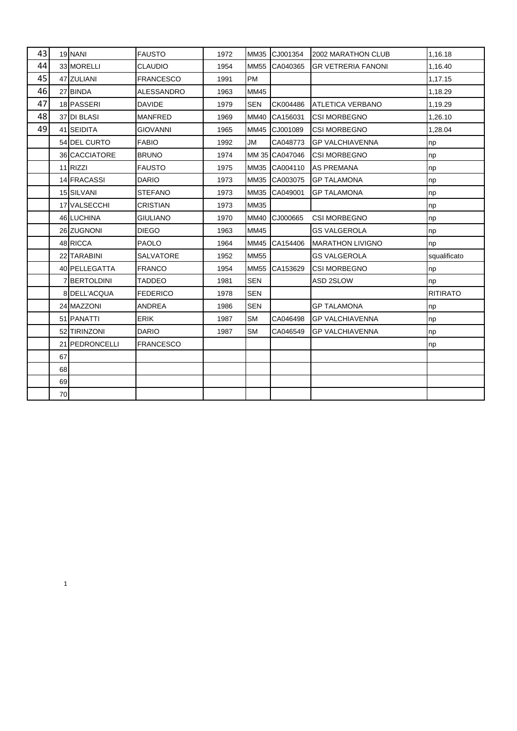| 43 |    | 19 NANI            | <b>FAUSTO</b>     | 1972 |             | MM35 CJ001354  | 2002 MARATHON CLUB        | 1,16.18         |
|----|----|--------------------|-------------------|------|-------------|----------------|---------------------------|-----------------|
| 44 |    | 33 MORELLI         | <b>CLAUDIO</b>    | 1954 | <b>MM55</b> | CA040365       | <b>GR VETRERIA FANONI</b> | 1,16.40         |
| 45 |    | 47 ZULIANI         | <b>FRANCESCO</b>  | 1991 | <b>PM</b>   |                |                           | 1,17.15         |
| 46 |    | 27 BINDA           | <b>ALESSANDRO</b> | 1963 | <b>MM45</b> |                |                           | 1,18.29         |
| 47 |    | 18 PASSERI         | <b>DAVIDE</b>     | 1979 | <b>SEN</b>  | CK004486       | ATLETICA VERBANO          | 1,19.29         |
| 48 |    | 37 DI BLASI        | <b>MANFRED</b>    | 1969 | <b>MM40</b> | CA156031       | <b>CSI MORBEGNO</b>       | 1,26.10         |
| 49 |    | 41 SEIDITA         | <b>GIOVANNI</b>   | 1965 | <b>MM45</b> | CJ001089       | <b>CSI MORBEGNO</b>       | 1,28.04         |
|    |    | 54 DEL CURTO       | <b>FABIO</b>      | 1992 | JM          | CA048773       | <b>GP VALCHIAVENNA</b>    | np              |
|    |    | 36 CACCIATORE      | <b>BRUNO</b>      | 1974 |             | MM 35 CA047046 | <b>CSI MORBEGNO</b>       | np              |
|    |    | 11 RIZZI           | <b>FAUSTO</b>     | 1975 |             | MM35 CA004110  | <b>AS PREMANA</b>         | np              |
|    |    | <b>14 FRACASSI</b> | <b>DARIO</b>      | 1973 | MM35        | CA003075       | <b>GP TALAMONA</b>        | np              |
|    |    | 15 SILVANI         | <b>STEFANO</b>    | 1973 | MM35        | CA049001       | <b>GP TALAMONA</b>        | np              |
|    |    | 17 VALSECCHI       | <b>CRISTIAN</b>   | 1973 | <b>MM35</b> |                |                           | np              |
|    |    | 46 LUCHINA         | <b>GIULIANO</b>   | 1970 | MM40        | CJ000665       | CSI MORBEGNO              | np              |
|    |    | 26 ZUGNONI         | <b>DIEGO</b>      | 1963 | <b>MM45</b> |                | <b>GS VALGEROLA</b>       | np              |
|    |    | 48 RICCA           | PAOLO             | 1964 | <b>MM45</b> | CA154406       | <b>MARATHON LIVIGNO</b>   | np              |
|    |    | 22 TARABINI        | <b>SALVATORE</b>  | 1952 | <b>MM55</b> |                | GS VALGEROLA              | squalificato    |
|    |    | 40 PELLEGATTA      | <b>FRANCO</b>     | 1954 | <b>MM55</b> | CA153629       | <b>CSI MORBEGNO</b>       | np              |
|    |    | 7 BERTOLDINI       | <b>TADDEO</b>     | 1981 | <b>SEN</b>  |                | ASD 2SLOW                 | np              |
|    |    | 8 DELL'ACQUA       | <b>FEDERICO</b>   | 1978 | <b>SEN</b>  |                |                           | <b>RITIRATO</b> |
|    |    | 24 MAZZONI         | <b>ANDREA</b>     | 1986 | <b>SEN</b>  |                | <b>GP TALAMONA</b>        | np              |
|    |    | 51 PANATTI         | <b>ERIK</b>       | 1987 | <b>SM</b>   | CA046498       | <b>GP VALCHIAVENNA</b>    | np              |
|    |    | 52 TIRINZONI       | DARIO             | 1987 | <b>SM</b>   | CA046549       | <b>GP VALCHIAVENNA</b>    | np              |
|    |    | 21 PEDRONCELLI     | <b>FRANCESCO</b>  |      |             |                |                           | np              |
|    | 67 |                    |                   |      |             |                |                           |                 |
|    | 68 |                    |                   |      |             |                |                           |                 |
|    | 69 |                    |                   |      |             |                |                           |                 |
|    | 70 |                    |                   |      |             |                |                           |                 |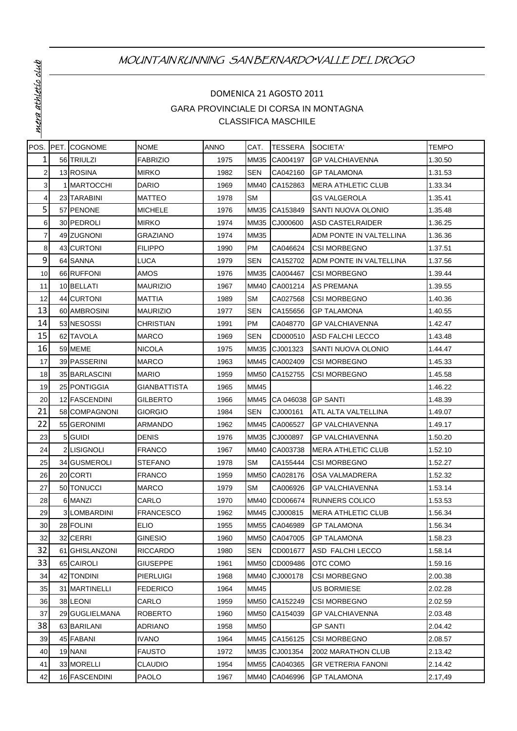## GARA PROVINCIALE DI CORSA IN MONTAGNA DOMENICA 21 AGOSTO 2011 CLASSIFICA MASCHILE

| mera athletic club | MOUINTAIINNUINING <i>JANDLINVANDO VALLL DLL DI</i> OGO                             |                  |             |                                               |                            |                                       |              |  |  |  |  |  |  |
|--------------------|------------------------------------------------------------------------------------|------------------|-------------|-----------------------------------------------|----------------------------|---------------------------------------|--------------|--|--|--|--|--|--|
|                    |                                                                                    |                  |             |                                               |                            |                                       |              |  |  |  |  |  |  |
|                    | DOMENICA 21 AGOSTO 2011                                                            |                  |             |                                               |                            |                                       |              |  |  |  |  |  |  |
|                    |                                                                                    |                  |             |                                               |                            | GARA PROVINCIALE DI CORSA IN MONTAGNA |              |  |  |  |  |  |  |
|                    |                                                                                    |                  |             |                                               | <b>CLASSIFICA MASCHILE</b> |                                       |              |  |  |  |  |  |  |
|                    |                                                                                    |                  |             |                                               |                            |                                       |              |  |  |  |  |  |  |
| POS.               | PET. COGNOME                                                                       | <b>NOME</b>      | <b>ANNO</b> | CAT.                                          | <b>TESSERA</b>             | SOCIETA'                              | <b>TEMPO</b> |  |  |  |  |  |  |
| 1                  | 56 TRIULZI                                                                         | <b>FABRIZIO</b>  | 1975        | MM35                                          | CA004197                   | <b>GP VALCHIAVENNA</b>                | 1.30.50      |  |  |  |  |  |  |
| 2                  | 13 ROSINA                                                                          | <b>MIRKO</b>     | 1982        | SEN                                           | CA042160                   | <b>GP TALAMONA</b>                    | 1.31.53      |  |  |  |  |  |  |
| 3                  | 1 MARTOCCHI                                                                        | DARIO            | 1969        | <b>MM40</b>                                   | CA152863                   | <b>MERA ATHLETIC CLUB</b>             | 1.33.34      |  |  |  |  |  |  |
| 4                  | 23 TARABINI                                                                        | MATTEO           | 1978        | SM                                            |                            | <b>GS VALGEROLA</b>                   | 1.35.41      |  |  |  |  |  |  |
| 5                  | 57 PENONE                                                                          | MICHELE          | 1976        | MM35                                          | CA153849                   | SANTI NUOVA OLONIO                    | 1.35.48      |  |  |  |  |  |  |
| 6                  | 30 PEDROLI                                                                         | <b>MIRKO</b>     | 1974        | MM35                                          | CJ000600                   | ASD CASTELRAIDER                      | 1.36.25      |  |  |  |  |  |  |
| $\overline{7}$     | 49 ZUGNONI                                                                         | GRAZIANO         | 1974        | <b>MM35</b>                                   |                            | ADM PONTE IN VALTELLINA               | 1.36.36      |  |  |  |  |  |  |
| 8                  | 43 CURTONI                                                                         | FILIPPO          | 1990        | <b>PM</b>                                     | CA046624                   | <b>CSI MORBEGNO</b>                   | 1.37.51      |  |  |  |  |  |  |
| 9                  | 64 SANNA                                                                           | LUCA             | 1979        | <b>SEN</b>                                    | CA152702                   | ADM PONTE IN VALTELLINA               | 1.37.56      |  |  |  |  |  |  |
| 10                 | 66 RUFFONI                                                                         | AMOS             | 1976        | <b>MM35</b>                                   | CA004467                   | <b>CSI MORBEGNO</b>                   | 1.39.44      |  |  |  |  |  |  |
| 11                 | 10 BELLATI                                                                         | MAURIZIO         | 1967        | MM40                                          | CA001214                   | IAS PREMANA                           | 1.39.55      |  |  |  |  |  |  |
| 12                 | 44 CURTONI                                                                         | MATTIA           | 1989        | SM                                            | CA027568                   | <b>CSI MORBEGNO</b>                   | 1.40.36      |  |  |  |  |  |  |
| 13                 | 60 AMBROSINI                                                                       | MAURIZIO         | 1977        | SEN                                           | CA155656                   | <b>GP TALAMONA</b>                    | 1.40.55      |  |  |  |  |  |  |
| 14                 | <b>PM</b><br>53 NESOSSI<br>CHRISTIAN<br>CA048770<br>1991<br><b>GP VALCHIAVENNA</b> |                  |             |                                               | 1.42.47                    |                                       |              |  |  |  |  |  |  |
| 15                 | 62 TAVOLA<br><b>SEN</b><br>CD000510<br>MARCO<br>1969<br>ASD FALCHI LECCO           |                  |             | 1.43.48                                       |                            |                                       |              |  |  |  |  |  |  |
| 16                 | 59 MEME                                                                            | <b>NICOLA</b>    | 1975        | <b>MM35</b><br>CJ001323<br>SANTI NUOVA OLONIO |                            | 1.44.47                               |              |  |  |  |  |  |  |
| 17                 | 39 PASSERINI                                                                       | MARCO            | 1963        | <b>MM45</b>                                   | CA002409                   | <b>CSI MORBEGNO</b>                   | 1.45.33      |  |  |  |  |  |  |
| 18                 | 35 BARLASCINI                                                                      | MARIO            | 1959        | MM50                                          | CA152755                   | CSI MORBEGNO                          | 1.45.58      |  |  |  |  |  |  |
| 19                 | 25 PONTIGGIA                                                                       | GIANBATTISTA     | 1965        | MM45                                          |                            |                                       | 1.46.22      |  |  |  |  |  |  |
| 20                 | 12 FASCENDINI                                                                      | GILBERTO         | 1966        | MM45                                          | CA 046038 GP SANTI         |                                       | 1.48.39      |  |  |  |  |  |  |
| 21                 | 58 COMPAGNONI                                                                      | GIORGIO          | 1984        | SEN                                           | CJ000161                   | ATL ALTA VALTELLINA                   | 1.49.07      |  |  |  |  |  |  |
| 22                 | 55 GERONIMI                                                                        | ARMANDO          | 1962        | MM45                                          | CA006527                   | <b>GP VALCHIAVENNA</b>                | 1.49.17      |  |  |  |  |  |  |
| 23                 | 5 GUIDI                                                                            | DENIS            | 1976        | MM35                                          | CJ000897                   | <b>GP VALCHIAVENNA</b>                | 1.50.20      |  |  |  |  |  |  |
| 24                 | 2 LISIGNOLI                                                                        | <b>FRANCO</b>    | 1967        |                                               | MM40 CA003738              | MERA ATHLETIC CLUB                    | 1.52.10      |  |  |  |  |  |  |
| 25                 | 34 GUSMEROLI                                                                       | <b>STEFANO</b>   | 1978        | SM                                            | CA155444                   | <b>CSI MORBEGNO</b>                   | 1.52.27      |  |  |  |  |  |  |
| 26                 | 20 CORTI                                                                           | <b>FRANCO</b>    | 1959        | <b>MM50</b>                                   | CA028176                   | OSA VALMADRERA                        | 1.52.32      |  |  |  |  |  |  |
| 27                 | 50 TONUCCI                                                                         | MARCO            | 1979        | SМ                                            | CA006926                   | <b>GP VALCHIAVENNA</b>                | 1.53.14      |  |  |  |  |  |  |
| 28                 | 6 MANZI                                                                            | CARLO            | 1970        | <b>MM40</b>                                   | CD006674                   | <b>RUNNERS COLICO</b>                 | 1.53.53      |  |  |  |  |  |  |
| 29                 | 3 LOMBARDINI                                                                       | <b>FRANCESCO</b> | 1962        | MM45                                          | CJ000815                   | <b>MERA ATHLETIC CLUB</b>             | 1.56.34      |  |  |  |  |  |  |
| 30                 | 28 FOLINI                                                                          | <b>ELIO</b>      | 1955        | <b>MM55</b>                                   | CA046989                   | <b>GP TALAMONA</b>                    | 1.56.34      |  |  |  |  |  |  |
| 32                 | 32 CERRI                                                                           | <b>GINESIO</b>   | 1960        | MM50                                          | CA047005                   | <b>GP TALAMONA</b>                    | 1.58.23      |  |  |  |  |  |  |
| 32                 | 61 GHISLANZONI                                                                     | <b>RICCARDO</b>  | 1980        | SEN                                           | CD001677                   | ASD FALCHI LECCO                      | 1.58.14      |  |  |  |  |  |  |
| 33                 | 65 CAIROLI                                                                         | <b>GIUSEPPE</b>  | 1961        | MM50                                          | CD009486                   | OTC COMO                              | 1.59.16      |  |  |  |  |  |  |
| 34                 | 42 TONDINI                                                                         | <b>PIERLUIGI</b> | 1968        | <b>MM40</b>                                   | CJ000178                   | <b>CSI MORBEGNO</b>                   | 2.00.38      |  |  |  |  |  |  |
| 35                 | 31 MARTINELLI                                                                      | <b>FEDERICO</b>  | 1964        | MM45                                          |                            | US BORMIESE                           | 2.02.28      |  |  |  |  |  |  |
| 36                 | 38 LEONI                                                                           | CARLO            | 1959        | <b>MM50</b>                                   | CA152249                   | <b>CSI MORBEGNO</b>                   | 2.02.59      |  |  |  |  |  |  |
| 37                 | 29 GUGLIELMANA                                                                     | <b>ROBERTO</b>   | 1960        | MM50                                          | CA154039                   | <b>GP VALCHIAVENNA</b>                | 2.03.48      |  |  |  |  |  |  |
| 38                 | 63 BARILANI                                                                        | <b>ADRIANO</b>   | 1958        | MM50                                          |                            | <b>GP SANTI</b>                       | 2.04.42      |  |  |  |  |  |  |
| 39                 | 45 FABANI                                                                          | IVANO            | 1964        | MM45                                          | CA156125                   | <b>CSI MORBEGNO</b>                   | 2.08.57      |  |  |  |  |  |  |
| 40                 | 19 NANI                                                                            | <b>FAUSTO</b>    | 1972        | <b>MM35</b>                                   | CJ001354                   | 2002 MARATHON CLUB                    | 2.13.42      |  |  |  |  |  |  |
| 41                 | 33 MORELLI                                                                         | <b>CLAUDIO</b>   | 1954        | MM55                                          | CA040365                   | <b>GR VETRERIA FANONI</b>             | 2.14.42      |  |  |  |  |  |  |
| 42                 | 16 FASCENDINI                                                                      | <b>PAOLO</b>     | 1967        | MM40                                          | CA046996                   | <b>GP TALAMONA</b>                    | 2.17,49      |  |  |  |  |  |  |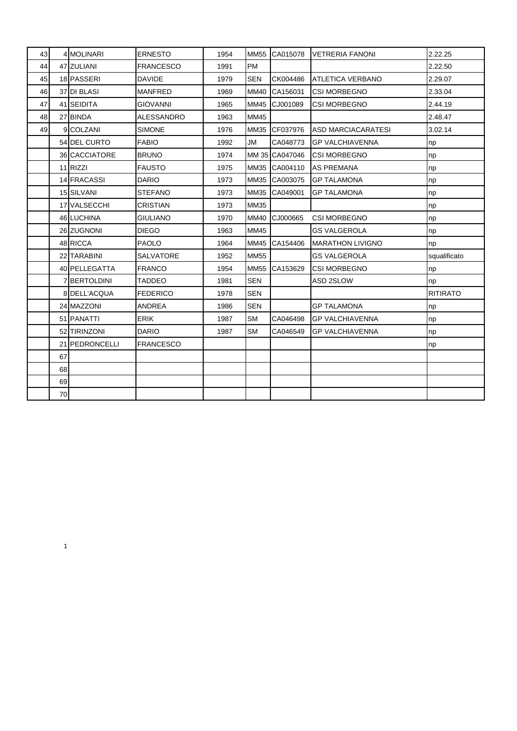| 43 |    | 4 MOLINARI     | <b>ERNESTO</b>   | 1954 |             | MM55 CA015078  | <b>VETRERIA FANONI</b>    | 2.22.25         |
|----|----|----------------|------------------|------|-------------|----------------|---------------------------|-----------------|
| 44 |    | 47 ZULIANI     | <b>FRANCESCO</b> | 1991 | <b>PM</b>   |                |                           | 2.22.50         |
| 45 |    | 18 PASSERI     | <b>DAVIDE</b>    | 1979 | <b>SEN</b>  | CK004486       | <b>ATLETICA VERBANO</b>   | 2.29.07         |
| 46 |    | 37 DI BLASI    | <b>MANFRED</b>   | 1969 | <b>MM40</b> | CA156031       | <b>CSI MORBEGNO</b>       | 2.33.04         |
| 47 |    | 41 SEIDITA     | <b>GIOVANNI</b>  | 1965 | MM45        | CJ001089       | CSI MORBEGNO              | 2.44.19         |
| 48 |    | 27 BINDA       | ALESSANDRO       | 1963 | <b>MM45</b> |                |                           | 2.48.47         |
| 49 |    | 9 COLZANI      | <b>SIMONE</b>    | 1976 | <b>MM35</b> | CF037976       | <b>ASD MARCIACARATESI</b> | 3.02.14         |
|    |    | 54 DEL CURTO   | <b>FABIO</b>     | 1992 | JM          | CA048773       | <b>GP VALCHIAVENNA</b>    | np              |
|    |    | 36 CACCIATORE  | <b>BRUNO</b>     | 1974 |             | MM 35 CA047046 | <b>CSI MORBEGNO</b>       | np              |
|    |    | 11 RIZZI       | <b>FAUSTO</b>    | 1975 |             | MM35 CA004110  | <b>AS PREMANA</b>         | np              |
|    |    | 14 FRACASSI    | <b>DARIO</b>     | 1973 | MM35        | CA003075       | <b>GP TALAMONA</b>        | np              |
|    |    | 15 SILVANI     | <b>STEFANO</b>   | 1973 | MM35        | CA049001       | <b>GP TALAMONA</b>        | np              |
|    |    | 17 VALSECCHI   | <b>CRISTIAN</b>  | 1973 | <b>MM35</b> |                |                           | np              |
|    |    | 46 LUCHINA     | <b>GIULIANO</b>  | 1970 | MM40        | CJ000665       | CSI MORBEGNO              | np              |
|    |    | 26 ZUGNONI     | <b>DIEGO</b>     | 1963 | <b>MM45</b> |                | <b>GS VALGEROLA</b>       | np              |
|    |    | 48 RICCA       | <b>PAOLO</b>     | 1964 | <b>MM45</b> | CA154406       | <b>MARATHON LIVIGNO</b>   | np              |
|    |    | 22 TARABINI    | <b>SALVATORE</b> | 1952 | <b>MM55</b> |                | GS VALGEROLA              | squalificato    |
|    |    | 40 PELLEGATTA  | <b>FRANCO</b>    | 1954 | <b>MM55</b> | CA153629       | <b>CSI MORBEGNO</b>       | np              |
|    |    | 7 BERTOLDINI   | <b>TADDEO</b>    | 1981 | <b>SEN</b>  |                | ASD 2SLOW                 | np              |
|    |    | 8 DELL'ACQUA   | <b>FEDERICO</b>  | 1978 | <b>SEN</b>  |                |                           | <b>RITIRATO</b> |
|    |    | 24 MAZZONI     | <b>ANDREA</b>    | 1986 | <b>SEN</b>  |                | <b>GP TALAMONA</b>        | np              |
|    |    | 51 PANATTI     | <b>ERIK</b>      | 1987 | <b>SM</b>   | CA046498       | <b>GP VALCHIAVENNA</b>    | np              |
|    |    | 52 TIRINZONI   | <b>DARIO</b>     | 1987 | <b>SM</b>   | CA046549       | <b>GP VALCHIAVENNA</b>    | np              |
|    |    | 21 PEDRONCELLI | <b>FRANCESCO</b> |      |             |                |                           | np              |
|    | 67 |                |                  |      |             |                |                           |                 |
|    | 68 |                |                  |      |             |                |                           |                 |
|    | 69 |                |                  |      |             |                |                           |                 |
|    | 70 |                |                  |      |             |                |                           |                 |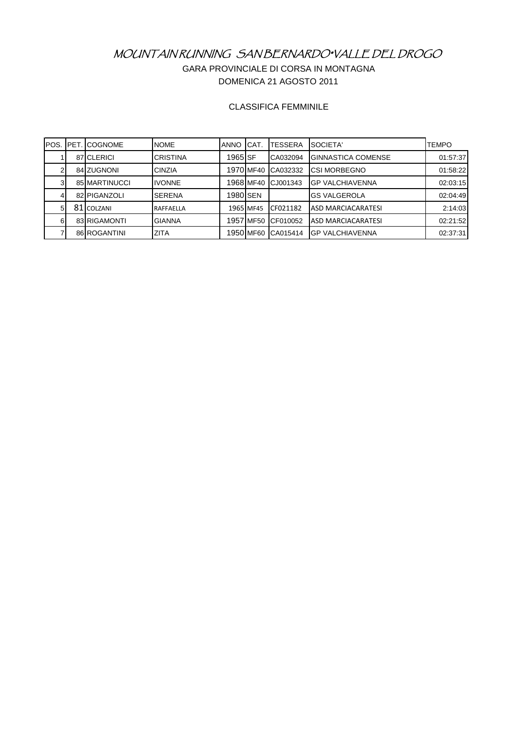GARA PROVINCIALE DI CORSA IN MONTAGNA DOMENICA 21 AGOSTO 2011

#### CLASSIFICA FEMMINILE

| IPOS. | <b>IPET</b> | <b>COGNOME</b> | <b>INOME</b>     | <b>ANNO</b> | ICAT.     | <b>ITESSERA</b>                    | SOCIETA'                  | <b>TEMPO</b> |
|-------|-------------|----------------|------------------|-------------|-----------|------------------------------------|---------------------------|--------------|
|       |             | 87 CLERICI     | <b>CRISTINA</b>  | 1965 ISF    |           | CA032094                           | <b>GINNASTICA COMENSE</b> | 01:57:37     |
| っ     |             | 84 ZUGNONI     | <b>CINZIA</b>    |             | 1970 MF40 | CA032332                           | <b>CSI MORBEGNO</b>       | 01:58:22     |
|       |             | 85 MARTINUCCI  | <b>IVONNE</b>    |             | 1968 MF40 | CJ001343                           | <b>GP VALCHIAVENNA</b>    | 02:03:15     |
|       |             | 82 PIGANZOLI   | <b>SERENA</b>    | 1980 SEN    |           |                                    | <b>GS VALGEROLA</b>       | 02:04:49     |
| 51    |             | 81 COLZANI     | <b>RAFFAELLA</b> |             | 1965 MF45 | CF021182                           | <b>ASD MARCIACARATESI</b> | 2:14:03      |
| 61    |             | 83 RIGAMONTI   | <b>GIANNA</b>    |             | 1957 MF50 | CF010052                           | <b>ASD MARCIACARATESI</b> | 02:21:52     |
|       |             | 86 ROGANTINI   | <b>ZITA</b>      |             | 1950 MF60 | <b>GP VALCHIAVENNA</b><br>CA015414 |                           | 02:37:31     |